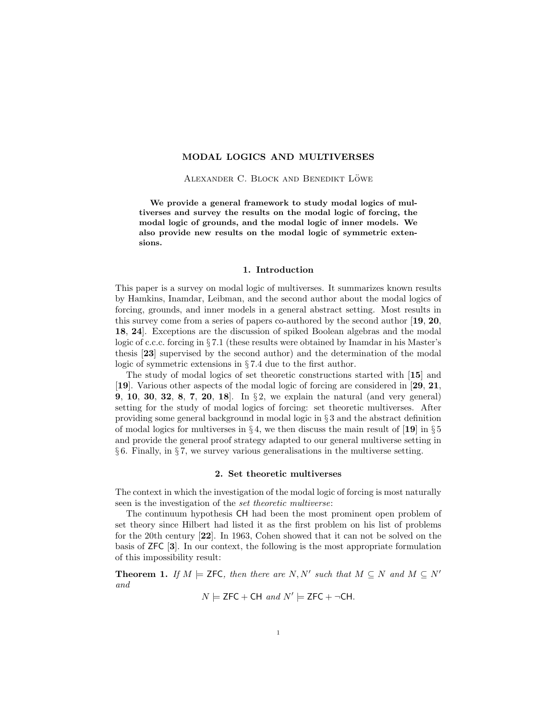# MODAL LOGICS AND MULTIVERSES

ALEXANDER C. BLOCK AND BENEDIKT LÖWE

We provide a general framework to study modal logics of multiverses and survey the results on the modal logic of forcing, the modal logic of grounds, and the modal logic of inner models. We also provide new results on the modal logic of symmetric extensions.

## 1. Introduction

This paper is a survey on modal logic of multiverses. It summarizes known results by Hamkins, Inamdar, Leibman, and the second author about the modal logics of forcing, grounds, and inner models in a general abstract setting. Most results in this survey come from a series of papers co-authored by the second author [19, 20, 18, 24]. Exceptions are the discussion of spiked Boolean algebras and the modal logic of c.c.c. forcing in § 7.1 (these results were obtained by Inamdar in his Master's thesis [23] supervised by the second author) and the determination of the modal logic of symmetric extensions in § 7.4 due to the first author.

The study of modal logics of set theoretic constructions started with [15] and [19]. Various other aspects of the modal logic of forcing are considered in [29, 21, 9, 10, 30, 32, 8, 7, 20, 18]. In § 2, we explain the natural (and very general) setting for the study of modal logics of forcing: set theoretic multiverses. After providing some general background in modal logic in § 3 and the abstract definition of modal logics for multiverses in  $\S 4$ , we then discuss the main result of [19] in  $\S 5$ and provide the general proof strategy adapted to our general multiverse setting in § 6. Finally, in § 7, we survey various generalisations in the multiverse setting.

### 2. Set theoretic multiverses

The context in which the investigation of the modal logic of forcing is most naturally seen is the investigation of the set theoretic multiverse:

The continuum hypothesis CH had been the most prominent open problem of set theory since Hilbert had listed it as the first problem on his list of problems for the 20th century [22]. In 1963, Cohen showed that it can not be solved on the basis of ZFC [3]. In our context, the following is the most appropriate formulation of this impossibility result:

**Theorem 1.** If  $M \models$  **ZFC**, then there are  $N, N'$  such that  $M \subseteq N$  and  $M \subseteq N'$ and

 $N \models$  ZFC + CH and  $N' \models$  ZFC +  $\neg$ CH.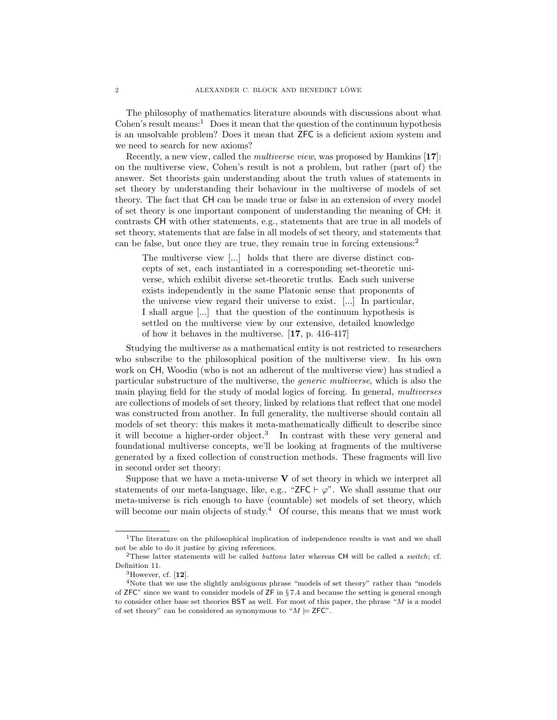The philosophy of mathematics literature abounds with discussions about what Cohen's result means: $\frac{1}{1}$  Does it mean that the question of the continuum hypothesis is an unsolvable problem? Does it mean that ZFC is a deficient axiom system and we need to search for new axioms?

Recently, a new view, called the *multiverse view*, was proposed by Hamkins [17]: on the multiverse view, Cohen's result is not a problem, but rather (part of) the answer. Set theorists gain understanding about the truth values of statements in set theory by understanding their behaviour in the multiverse of models of set theory. The fact that CH can be made true or false in an extension of every model of set theory is one important component of understanding the meaning of CH: it contrasts CH with other statements, e.g., statements that are true in all models of set theory, statements that are false in all models of set theory, and statements that can be false, but once they are true, they remain true in forcing extensions:<sup>2</sup>

The multiverse view [...] holds that there are diverse distinct concepts of set, each instantiated in a corresponding set-theoretic universe, which exhibit diverse set-theoretic truths. Each such universe exists independently in the same Platonic sense that proponents of the universe view regard their universe to exist. [...] In particular, I shall argue [...] that the question of the continuum hypothesis is settled on the multiverse view by our extensive, detailed knowledge of how it behaves in the multiverse. [17, p. 416-417]

Studying the multiverse as a mathematical entity is not restricted to researchers who subscribe to the philosophical position of the multiverse view. In his own work on CH, Woodin (who is not an adherent of the multiverse view) has studied a particular substructure of the multiverse, the generic multiverse, which is also the main playing field for the study of modal logics of forcing. In general, multiverses are collections of models of set theory, linked by relations that reflect that one model was constructed from another. In full generality, the multiverse should contain all models of set theory: this makes it meta-mathematically difficult to describe since it will become a higher-order object.<sup>3</sup> In contrast with these very general and foundational multiverse concepts, we'll be looking at fragments of the multiverse generated by a fixed collection of construction methods. These fragments will live in second order set theory:

Suppose that we have a meta-universe  $V$  of set theory in which we interpret all statements of our meta-language, like, e.g., "ZFC  $\vdash \varphi$ ". We shall assume that our meta-universe is rich enough to have (countable) set models of set theory, which will become our main objects of study.<sup>4</sup> Of course, this means that we must work

<sup>&</sup>lt;sup>1</sup>The literature on the philosophical implication of independence results is vast and we shall not be able to do it justice by giving references.

<sup>&</sup>lt;sup>2</sup>These latter statements will be called *buttons* later whereas CH will be called a *switch*; cf. Definition 11.

 ${}^{3}$ However, cf.  $[12]$ .

<sup>&</sup>lt;sup>4</sup>Note that we use the slightly ambiguous phrase "models of set theory" rather than "models" of ZFC" since we want to consider models of ZF in § 7.4 and because the setting is general enough to consider other base set theories BST as well. For most of this paper, the phrase "M is a model of set theory" can be considered as synonymous to " $M \models$  **ZFC"**.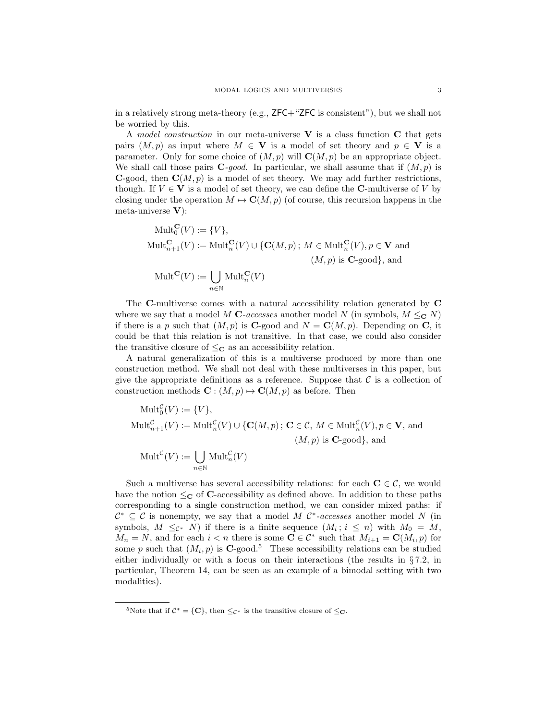in a relatively strong meta-theory (e.g., ZFC+"ZFC is consistent"), but we shall not be worried by this.

A model construction in our meta-universe  $V$  is a class function  $C$  that gets pairs  $(M, p)$  as input where  $M \in V$  is a model of set theory and  $p \in V$  is a parameter. Only for some choice of  $(M, p)$  will  $\mathbf{C}(M, p)$  be an appropriate object. We shall call those pairs  $C$ -good. In particular, we shall assume that if  $(M, p)$  is **C**-good, then  $C(M, p)$  is a model of set theory. We may add further restrictions, though. If  $V \in V$  is a model of set theory, we can define the C-multiverse of V by closing under the operation  $M \mapsto \mathbf{C}(M, p)$  (of course, this recursion happens in the meta-universe V):

$$
\begin{aligned}\n\text{Mult}_{0}^{\mathbf{C}}(V) &:= \{V\}, \\
\text{Mult}_{n+1}^{\mathbf{C}}(V) &:= \text{Mult}_{n}^{\mathbf{C}}(V) \cup \{ \mathbf{C}(M, p) \, ; \, M \in \text{Mult}_{n}^{\mathbf{C}}(V), p \in \mathbf{V} \text{ and } \\
&\quad (M, p) \text{ is } \mathbf{C}\text{-good} \}, \text{ and } \\
\text{Mult}^{\mathbf{C}}(V) &:= \bigcup_{n \in \mathbb{N}} \text{Mult}_{n}^{\mathbf{C}}(V)\n\end{aligned}
$$

The C-multiverse comes with a natural accessibility relation generated by C where we say that a model M C-accesses another model N (in symbols,  $M \leq_{\mathbf{C}} N$ ) if there is a p such that  $(M, p)$  is **C**-good and  $N = \mathbf{C}(M, p)$ . Depending on **C**, it could be that this relation is not transitive. In that case, we could also consider the transitive closure of  $\leq_{\mathbf{C}}$  as an accessibility relation.

A natural generalization of this is a multiverse produced by more than one construction method. We shall not deal with these multiverses in this paper, but give the appropriate definitions as a reference. Suppose that  $\mathcal C$  is a collection of construction methods  $\mathbf{C} : (M, p) \mapsto \mathbf{C}(M, p)$  as before. Then

$$
\begin{aligned}\n\text{Mult}_{0}^{\mathcal{C}}(V) &:= \{V\}, \\
\text{Mult}_{n+1}^{\mathcal{C}}(V) &:= \text{Mult}_{n}^{\mathcal{C}}(V) \cup \{ \mathbf{C}(M, p) \, ; \, \mathbf{C} \in \mathcal{C}, \, M \in \text{Mult}_{n}^{\mathcal{C}}(V), p \in \mathbf{V}, \, \text{and} \\
&\quad (M, p) \text{ is } \mathbf{C}\text{-good} \}, \, \text{and} \\
\text{Mult}^{\mathcal{C}}(V) &:= \bigcup_{n \in \mathbb{N}} \text{Mult}_{n}^{\mathcal{C}}(V)\n\end{aligned}
$$

Such a multiverse has several accessibility relations: for each  $C \in \mathcal{C}$ , we would have the notion  $\leq_C$  of C-accessibility as defined above. In addition to these paths corresponding to a single construction method, we can consider mixed paths: if  $\mathcal{C}^* \subseteq \mathcal{C}$  is nonempty, we say that a model M  $\mathcal{C}^*$ -accesses another model N (in symbols,  $M \leq_{\mathcal{C}^*} N$  if there is a finite sequence  $(M_i; i \leq n)$  with  $M_0 = M$ ,  $M_n = N$ , and for each  $i < n$  there is some  $C \in \mathcal{C}^*$  such that  $M_{i+1} = C(M_i, p)$  for some p such that  $(M_i, p)$  is **C**-good.<sup>5</sup> These accessibility relations can be studied either individually or with a focus on their interactions (the results in  $\S 7.2$ , in particular, Theorem 14, can be seen as an example of a bimodal setting with two modalities).

<sup>&</sup>lt;sup>5</sup>Note that if  $C^* = \{C\}$ , then  $\leq_{C^*}$  is the transitive closure of  $\leq_{C^*}$ .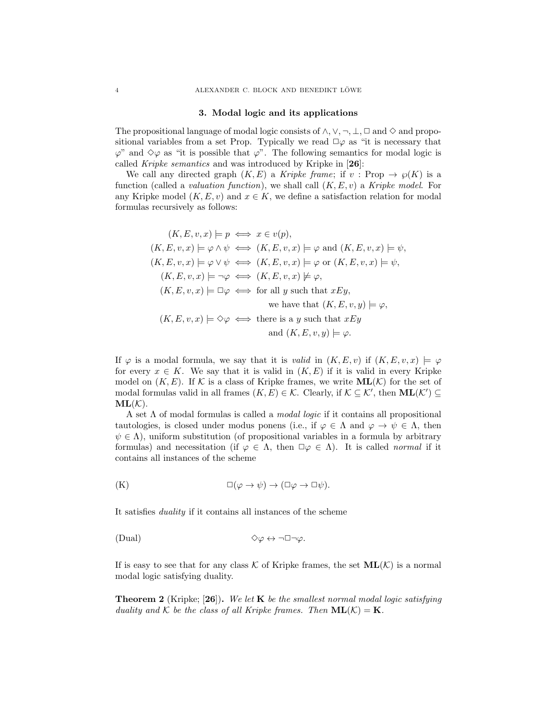### 3. Modal logic and its applications

The propositional language of modal logic consists of  $\land$ ,  $\lor$ ,  $\neg$ ,  $\bot$ ,  $\Box$  and  $\diamond$  and propositional variables from a set Prop. Typically we read  $\square \varphi$  as "it is necessary that  $\varphi$ " and  $\diamond \varphi$  as "it is possible that  $\varphi$ ". The following semantics for modal logic is called Kripke semantics and was introduced by Kripke in [26]:

We call any directed graph  $(K, E)$  a Kripke frame; if  $v : \text{Prop} \to \varphi(K)$  is a function (called a *valuation function*), we shall call  $(K, E, v)$  a Kripke model. For any Kripke model  $(K, E, v)$  and  $x \in K$ , we define a satisfaction relation for modal formulas recursively as follows:

$$
(K, E, v, x) \models p \iff x \in v(p),
$$
  
\n
$$
(K, E, v, x) \models \varphi \land \psi \iff (K, E, v, x) \models \varphi \text{ and } (K, E, v, x) \models \psi,
$$
  
\n
$$
(K, E, v, x) \models \varphi \lor \psi \iff (K, E, v, x) \models \varphi \text{ or } (K, E, v, x) \models \psi,
$$
  
\n
$$
(K, E, v, x) \models \neg \varphi \iff (K, E, v, x) \not\models \varphi,
$$
  
\n
$$
(K, E, v, x) \models \Box \varphi \iff \text{for all } y \text{ such that } xEy,
$$
  
\nwe have that 
$$
(K, E, v, y) \models \varphi,
$$
  
\n
$$
(K, E, v, x) \models \Diamond \varphi \iff \text{there is a } y \text{ such that } xEy
$$
  
\nand 
$$
(K, E, v, y) \models \varphi.
$$

If  $\varphi$  is a modal formula, we say that it is *valid* in  $(K, E, v)$  if  $(K, E, v, x) \models \varphi$ for every  $x \in K$ . We say that it is valid in  $(K, E)$  if it is valid in every Kripke model on  $(K, E)$ . If K is a class of Kripke frames, we write  $ML(K)$  for the set of modal formulas valid in all frames  $(K, E) \in \mathcal{K}$ . Clearly, if  $\mathcal{K} \subseteq \mathcal{K}'$ , then  $ML(\mathcal{K}') \subseteq$  $ML(K)$ .

A set Λ of modal formulas is called a modal logic if it contains all propositional tautologies, is closed under modus ponens (i.e., if  $\varphi \in \Lambda$  and  $\varphi \to \psi \in \Lambda$ , then  $\psi \in \Lambda$ ), uniform substitution (of propositional variables in a formula by arbitrary formulas) and necessitation (if  $\varphi \in \Lambda$ , then  $\Box \varphi \in \Lambda$ ). It is called *normal* if it contains all instances of the scheme

$$
\Box(\varphi \to \psi) \to (\Box \varphi \to \Box \psi).
$$

It satisfies duality if it contains all instances of the scheme

$$
\Diamond \varphi \leftrightarrow \neg \Box \neg \varphi.
$$

If is easy to see that for any class K of Kripke frames, the set  $ML(K)$  is a normal modal logic satisfying duality.

**Theorem 2** (Kripke; [26]). We let **K** be the smallest normal modal logic satisfying duality and K be the class of all Kripke frames. Then  $ML(K) = K$ .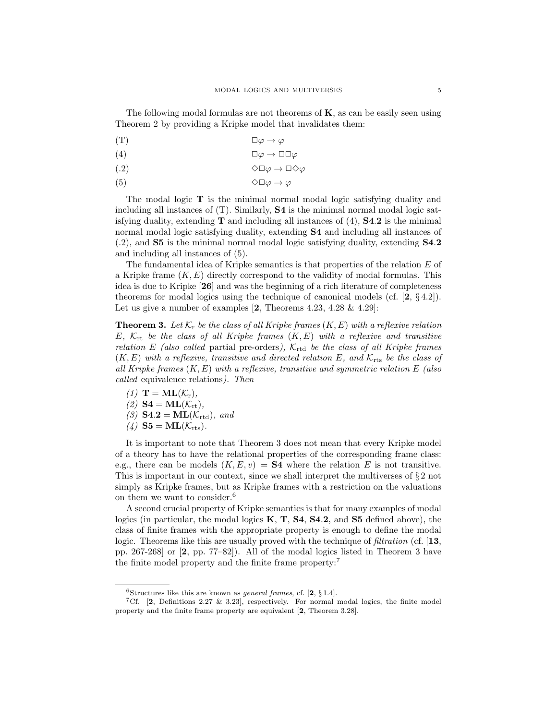The following modal formulas are not theorems of  $K$ , as can be easily seen using Theorem 2 by providing a Kripke model that invalidates them:

$$
(T) \t\Box \varphi \to \varphi
$$

$$
(4) \t\Box\varphi \to \Box\Box\varphi
$$

$$
\Diamond \Box \varphi \to \Box \Diamond \varphi
$$

$$
\Diamond \Box \varphi \to \varphi
$$

The modal logic  $\mathbf T$  is the minimal normal modal logic satisfying duality and including all instances of (T). Similarly, S4 is the minimal normal modal logic satisfying duality, extending  $T$  and including all instances of (4),  $S4.2$  is the minimal normal modal logic satisfying duality, extending S4 and including all instances of (.2), and S5 is the minimal normal modal logic satisfying duality, extending S4.2 and including all instances of (5).

The fundamental idea of Kripke semantics is that properties of the relation  $E$  of a Kripke frame  $(K, E)$  directly correspond to the validity of modal formulas. This idea is due to Kripke [26] and was the beginning of a rich literature of completeness theorems for modal logics using the technique of canonical models (cf.  $[2, \{4.2\}]$ ). Let us give a number of examples  $[2,$  Theorems 4.23, 4.28 & 4.29]:

**Theorem 3.** Let  $\mathcal{K}_r$  be the class of all Kripke frames  $(K, E)$  with a reflexive relation E,  $K_{rt}$  be the class of all Kripke frames  $(K, E)$  with a reflexive and transitive relation E (also called partial pre-orders),  $\mathcal{K}_{\text{rtd}}$  be the class of all Kripke frames  $(K, E)$  with a reflexive, transitive and directed relation E, and  $K_{\text{rts}}$  be the class of all Kripke frames  $(K, E)$  with a reflexive, transitive and symmetric relation E (also called equivalence relations). Then

(1) 
$$
\mathbf{T} = \mathbf{ML}(\mathcal{K}_r)
$$
,  
(2)  $\mathbf{S4} = \mathbf{ML}(\mathcal{K}_{rt})$ ,  
(3)  $\mathbf{S4.2} = \mathbf{ML}(\mathcal{K}_{rtd})$ , and  
(4)  $\mathbf{S5} = \mathbf{ML}(\mathcal{K}_{rts})$ .

It is important to note that Theorem 3 does not mean that every Kripke model of a theory has to have the relational properties of the corresponding frame class: e.g., there can be models  $(K, E, v) \models \mathbf{S4}$  where the relation E is not transitive. This is important in our context, since we shall interpret the multiverses of  $\S 2$  not simply as Kripke frames, but as Kripke frames with a restriction on the valuations on them we want to consider.<sup>6</sup>

A second crucial property of Kripke semantics is that for many examples of modal logics (in particular, the modal logics  $K, T, S4, S4.2$ , and  $S5$  defined above), the class of finite frames with the appropriate property is enough to define the modal logic. Theorems like this are usually proved with the technique of *filtration* (cf. [13, pp. 267-268] or [2, pp. 77–82]). All of the modal logics listed in Theorem 3 have the finite model property and the finite frame property:<sup>7</sup>

 $6$ Structures like this are known as *general frames*, cf. [2,  $\S 1.4$ ].

<sup>&</sup>lt;sup>7</sup>Cf. [2, Definitions 2.27 & 3.23], respectively. For normal modal logics, the finite model property and the finite frame property are equivalent [2, Theorem 3.28].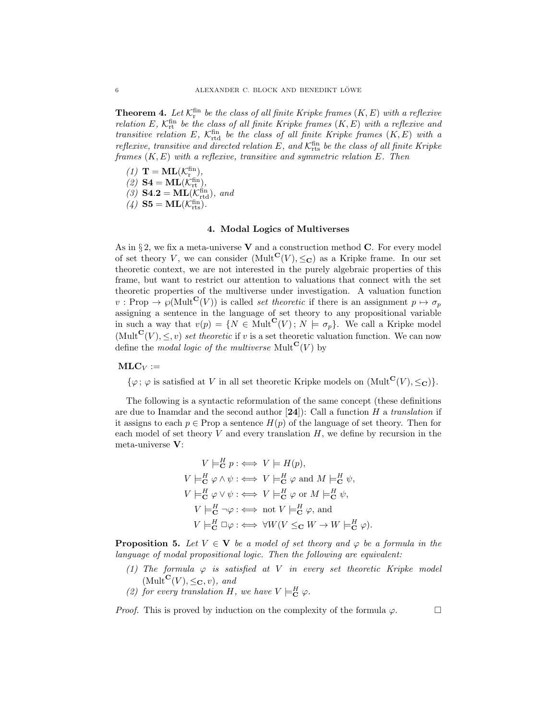**Theorem 4.** Let  $\mathcal{K}_{\text{r}}^{\text{fin}}$  be the class of all finite Kripke frames  $(K, E)$  with a reflexive relation E,  $K_{\text{rt}}^{\text{fin}}$  be the class of all finite Kripke frames  $(K, E)$  with a reflexive and transitive relation E,  $K_{\text{rtd}}^{\text{fin}}$  be the class of all finite Kripke frames  $(K, E)$  with a reflexive, transitive and directed relation  $E$ , and  $\mathcal{K}^\mathrm{fin}_\mathrm{rts}$  be the class of all finite Kripke frames  $(K, E)$  with a reflexive, transitive and symmetric relation  $E$ . Then

(1)  $\mathbf{T} = \mathbf{ML}(\mathcal{K}_{\mathrm{r}_{\mathrm{u}}}^{\mathrm{fin}}),$ (2)  $S4 = ML(K^{\text{fin}}_{\text{rt}}),$ (3)  $S4.2 = ML(K_{\text{rtd}}^{\text{fin}}),$  and (4)  $S5 = ML(K_{rts}^{fin})$ .

### 4. Modal Logics of Multiverses

As in  $\S 2$ , we fix a meta-universe **V** and a construction method **C**. For every model of set theory V, we can consider  $(Mult^{\mathbf{C}}(V), \leq_{\mathbf{C}})$  as a Kripke frame. In our set theoretic context, we are not interested in the purely algebraic properties of this frame, but want to restrict our attention to valuations that connect with the set theoretic properties of the multiverse under investigation. A valuation function  $v : \text{Prop} \to \mathcal{O}(\text{Mult}^{\mathbf{C}}(V))$  is called *set theoretic* if there is an assignment  $p \mapsto \sigma_p$ assigning a sentence in the language of set theory to any propositional variable in such a way that  $v(p) = \{N \in \text{Mult}^{\mathbf{C}}(V) \, ; \, N \models \sigma_p\}.$  We call a Kripke model (Mult<sup>C</sup>(V),  $\leq$ , v) set theoretic if v is a set theoretic valuation function. We can now define the modal logic of the multiverse Mult $\mathbf{C}(V)$  by

## $MLC_V :=$

 $\{\varphi; \varphi \text{ is satisfied at } V \text{ in all set theoretic Kripke models on } (\text{Mult}^{\mathbf{C}}(V), \leq_{\mathbf{C}})\}.$ 

The following is a syntactic reformulation of the same concept (these definitions are due to Inamdar and the second author  $[24]$ : Call a function H a translation if it assigns to each  $p \in \text{Prop}$  a sentence  $H(p)$  of the language of set theory. Then for each model of set theory  $V$  and every translation  $H$ , we define by recursion in the meta-universe V:

$$
V \models_{\mathbf{C}}^{H} p : \iff V \models H(p),
$$
  
\n
$$
V \models_{\mathbf{C}}^{H} \varphi \land \psi : \iff V \models_{\mathbf{C}}^{H} \varphi \text{ and } M \models_{\mathbf{C}}^{H} \psi,
$$
  
\n
$$
V \models_{\mathbf{C}}^{H} \varphi \lor \psi : \iff V \models_{\mathbf{C}}^{H} \varphi \text{ or } M \models_{\mathbf{C}}^{H} \psi,
$$
  
\n
$$
V \models_{\mathbf{C}}^{H} \neg \varphi : \iff \text{not } V \models_{\mathbf{C}}^{H} \varphi, \text{ and}
$$
  
\n
$$
V \models_{\mathbf{C}}^{H} \Box \varphi : \iff \forall W (V \leq_{\mathbf{C}} W \to W \models_{\mathbf{C}}^{H} \varphi).
$$

**Proposition 5.** Let  $V \in V$  be a model of set theory and  $\varphi$  be a formula in the language of modal propositional logic. Then the following are equivalent:

- (1) The formula  $\varphi$  is satisfied at V in every set theoretic Kripke model  $(Mult^{\mathbf{C}}(V), \leq_{\mathbf{C}} v)$ , and
- (2) for every translation H, we have  $V \models_{\mathbf{C}}^H \varphi$ .

*Proof.* This is proved by induction on the complexity of the formula  $\varphi$ .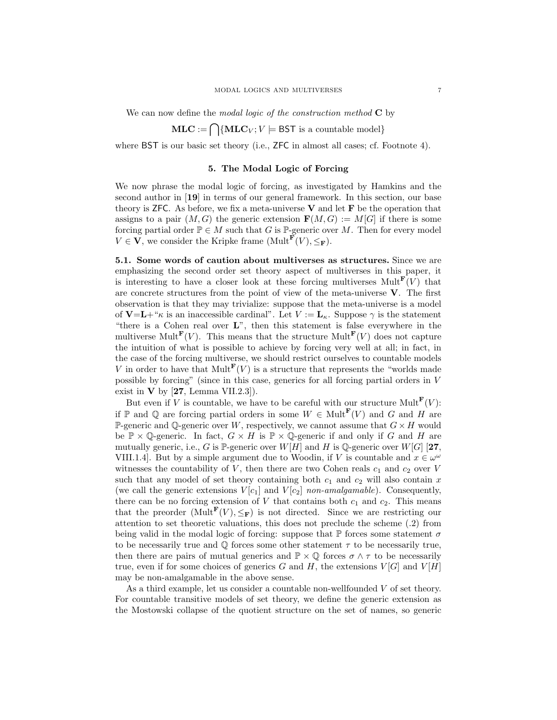We can now define the modal logic of the construction method  $C$  by

$$
MLC := \bigcap \{MLC_V; V \models \textsf{BST is a countable model} \}
$$

where BST is our basic set theory (i.e., ZFC in almost all cases; cf. Footnote 4).

## 5. The Modal Logic of Forcing

We now phrase the modal logic of forcing, as investigated by Hamkins and the second author in [19] in terms of our general framework. In this section, our base theory is ZFC. As before, we fix a meta-universe  $V$  and let  $F$  be the operation that assigns to a pair  $(M, G)$  the generic extension  $\mathbf{F}(M, G) := M[G]$  if there is some forcing partial order  $\mathbb{P} \in M$  such that G is  $\mathbb{P}$ -generic over M. Then for every model  $V \in \mathbf{V}$ , we consider the Kripke frame  $(\text{Mult}^{\mathbf{F}}(V), \leq_{\mathbf{F}}).$ 

5.1. Some words of caution about multiverses as structures. Since we are emphasizing the second order set theory aspect of multiverses in this paper, it is interesting to have a closer look at these forcing multiverses  $Mult^{\mathbf{F}}(V)$  that are concrete structures from the point of view of the meta-universe  $V$ . The first observation is that they may trivialize: suppose that the meta-universe is a model of  $V=L+\kappa$  is an inaccessible cardinal". Let  $V:=L_{\kappa}$ . Suppose  $\gamma$  is the statement "there is a Cohen real over L", then this statement is false everywhere in the multiverse Mult<sup>F</sup>(V). This means that the structure Mult<sup>F</sup>(V) does not capture the intuition of what is possible to achieve by forcing very well at all; in fact, in the case of the forcing multiverse, we should restrict ourselves to countable models V in order to have that  $Mult^{\mathbf{F}}(V)$  is a structure that represents the "worlds made possible by forcing" (since in this case, generics for all forcing partial orders in V exist in  $V$  by [27, Lemma VII.2.3]).

But even if V is countable, we have to be careful with our structure Mult<sup>F</sup> $(V)$ : if P and Q are forcing partial orders in some  $W \in Mult^{\mathbf{F}}(V)$  and G and H are P-generic and Q-generic over W, respectively, we cannot assume that  $G \times H$  would be  $\mathbb{P} \times \mathbb{Q}$ -generic. In fact,  $G \times H$  is  $\mathbb{P} \times \mathbb{Q}$ -generic if and only if G and H are mutually generic, i.e., G is P-generic over  $W[H]$  and H is Q-generic over  $W[G]$  [27, VIII.1.4. But by a simple argument due to Woodin, if V is countable and  $x \in \omega^{\omega}$ witnesses the countability of V, then there are two Cohen reals  $c_1$  and  $c_2$  over V such that any model of set theory containing both  $c_1$  and  $c_2$  will also contain x (we call the generic extensions  $V[c_1]$  and  $V[c_2]$  non-amalgamable). Consequently, there can be no forcing extension of  $V$  that contains both  $c_1$  and  $c_2$ . This means that the preorder  $(Mult^{\mathbf{F}}(V), \leq_{\mathbf{F}})$  is not directed. Since we are restricting our attention to set theoretic valuations, this does not preclude the scheme (.2) from being valid in the modal logic of forcing: suppose that  $\mathbb P$  forces some statement  $\sigma$ to be necessarily true and  $\mathbb Q$  forces some other statement  $\tau$  to be necessarily true, then there are pairs of mutual generics and  $\mathbb{P} \times \mathbb{Q}$  forces  $\sigma \wedge \tau$  to be necessarily true, even if for some choices of generics G and H, the extensions  $V[G]$  and  $V[H]$ may be non-amalgamable in the above sense.

As a third example, let us consider a countable non-wellfounded V of set theory. For countable transitive models of set theory, we define the generic extension as the Mostowski collapse of the quotient structure on the set of names, so generic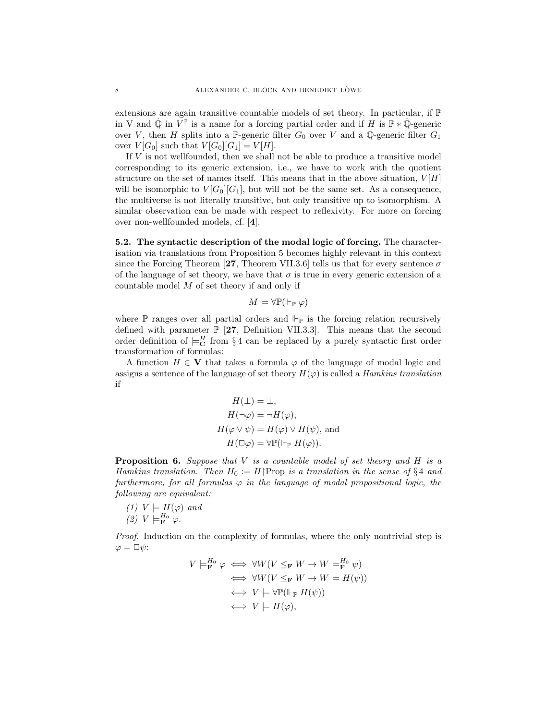extensions are again transitive countable models of set theory. In particular, if P in V and  $\dot{\mathbb{Q}}$  in  $\tilde{V}^{\mathbb{P}}$  is a name for a forcing partial order and if H is  $\mathbb{P} * \dot{\mathbb{Q}}$ -generic over V, then H splits into a P-generic filter  $G_0$  over V and a Q-generic filter  $G_1$ over  $V[G_0]$  such that  $V[G_0][G_1] = V[H]$ .

If V is not wellfounded, then we shall not be able to produce a transitive model corresponding to its generic extension, i.e., we have to work with the quotient structure on the set of names itself. This means that in the above situation,  $V[H]$ will be isomorphic to  $V[G_0][G_1]$ , but will not be the same set. As a consequence, the multiverse is not literally transitive, but only transitive up to isomorphism. A similar observation can be made with respect to reflexivity. For more on forcing over non-wellfounded models, cf. [4].

5.2. The syntactic description of the modal logic of forcing. The characterisation via translations from Proposition 5 becomes highly relevant in this context since the Forcing Theorem [27, Theorem VII.3.6] tells us that for every sentence  $\sigma$ of the language of set theory, we have that  $\sigma$  is true in every generic extension of a countable model  $M$  of set theory if and only if

 $M \models \forall \mathbb{P}(\Vdash_{\mathbb{P}} \varphi)$ 

where  $\mathbb P$  ranges over all partial orders and  $\Vdash_{\mathbb P}$  is the forcing relation recursively defined with parameter  $\mathbb{P}$  [27, Definition VII.3.3]. This means that the second order definition of  $\models^H_{\mathbf{C}}$  from §4 can be replaced by a purely syntactic first order transformation of formulas:

A function  $H \in V$  that takes a formula  $\varphi$  of the language of modal logic and assigns a sentence of the language of set theory  $H(\varphi)$  is called a *Hamkins translation* if

$$
H(\bot) = \bot,
$$
  
\n
$$
H(\neg \varphi) = \neg H(\varphi),
$$
  
\n
$$
H(\varphi \lor \psi) = H(\varphi) \lor H(\psi),
$$
 and  
\n
$$
H(\Box \varphi) = \forall \mathbb{P}(\Vdash_{\mathbb{P}} H(\varphi)).
$$

**Proposition 6.** Suppose that  $V$  is a countable model of set theory and  $H$  is a Hamkins translation. Then  $H_0 := H$  Prop is a translation in the sense of §4 and furthermore, for all formulas  $\varphi$  in the language of modal propositional logic, the following are equivalent:

(1) 
$$
V \models H(\varphi)
$$
 and  
(2)  $V \models_{\mathbf{F}}^{H_0} \varphi$ .

Proof. Induction on the complexity of formulas, where the only nontrivial step is  $\varphi = \Box \psi$ :

$$
V \models_{\mathbf{F}}^{H_0} \varphi \iff \forall W (V \leq_{\mathbf{F}} W \to W \models_{\mathbf{F}}^{H_0} \psi)
$$
  
\n
$$
\iff \forall W (V \leq_{\mathbf{F}} W \to W \models H(\psi))
$$
  
\n
$$
\iff V \models \forall \mathbb{P}(\Vdash_{\mathbb{P}} H(\psi))
$$
  
\n
$$
\iff V \models H(\varphi),
$$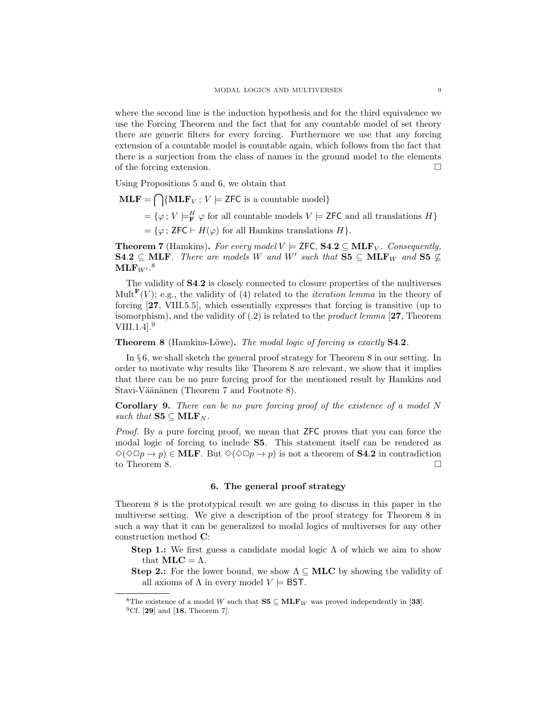where the second line is the induction hypothesis and for the third equivalence we use the Forcing Theorem and the fact that for any countable model of set theory there are generic filters for every forcing. Furthermore we use that any forcing extension of a countable model is countable again, which follows from the fact that there is a surjection from the class of names in the ground model to the elements of the forcing extension.

Using Propositions 5 and 6, we obtain that

 $\text{MLF} = \bigcap \{ \text{MLF}_V ; V \models \text{ZFC is a countable model} \}$  $=\{\varphi\,;\,V\models^H_{\bf F}\varphi\text{ for all countable models }V\models{\sf ZFC}\text{ and all translations }H\}$  $=\{\varphi : \mathsf{ZFC} \vdash H(\varphi) \text{ for all Hamkins translations } H\}.$ 

**Theorem 7** (Hamkins). For every model  $V \models$  ZFC, **S4.2**  $\subseteq$  **MLF**<sub>V</sub>. Consequently, **S4.2**  $\subseteq$  **MLF**. There are models W and W' such that **S5**  $\subseteq$  **MLF**<sub>W</sub> and **S5**  $\nsubseteq$  $\mathbf{MLF}_{W^{\prime}}$ .<sup>8</sup>

The validity of S4.2 is closely connected to closure properties of the multiverses Mult<sup>F</sup>(V); e.g., the validity of (4) related to the *iteration lemma* in the theory of forcing [27, VIII.5.5], which essentially expresses that forcing is transitive (up to isomorphism), and the validity of  $(0.2)$  is related to the *product lemma* [27, Theorem VIII.1.4].<sup>9</sup>

## **Theorem 8** (Hamkins-Löwe). The modal logic of forcing is exactly **S4.2**.

In § 6, we shall sketch the general proof strategy for Theorem 8 in our setting. In order to motivate why results like Theorem 8 are relevant, we show that it implies that there can be no pure forcing proof for the mentioned result by Hamkins and Stavi-Väänänen (Theorem 7 and Footnote 8).

Corollary 9. There can be no pure forcing proof of the existence of a model N such that  $S5 \subseteq \text{MLF}_N$ .

Proof. By a pure forcing proof, we mean that **ZFC** proves that you can force the modal logic of forcing to include S5. This statement itself can be rendered as  $\Diamond(\Diamond \Box p \to p) \in \text{MLE}$ . But  $\Diamond(\Diamond \Box p \to p)$  is not a theorem of **S4.2** in contradiction to Theorem 8.

#### 6. The general proof strategy

Theorem 8 is the prototypical result we are going to discuss in this paper in the multiverse setting. We give a description of the proof strategy for Theorem 8 in such a way that it can be generalized to modal logics of multiverses for any other construction method C:

- Step 1.: We first guess a candidate modal logic  $\Lambda$  of which we aim to show that  $MLC = \Lambda$ .
- **Step 2.:** For the lower bound, we show  $\Lambda \subseteq \textbf{MLC}$  by showing the validity of all axioms of  $\Lambda$  in every model  $V \models$  **BST.**

<sup>&</sup>lt;sup>8</sup>The existence of a model W such that  $S5 \subseteq \text{MLF}_W$  was proved independently in [33].

 ${}^{9}Cf.$  [29] and [18, Theorem 7].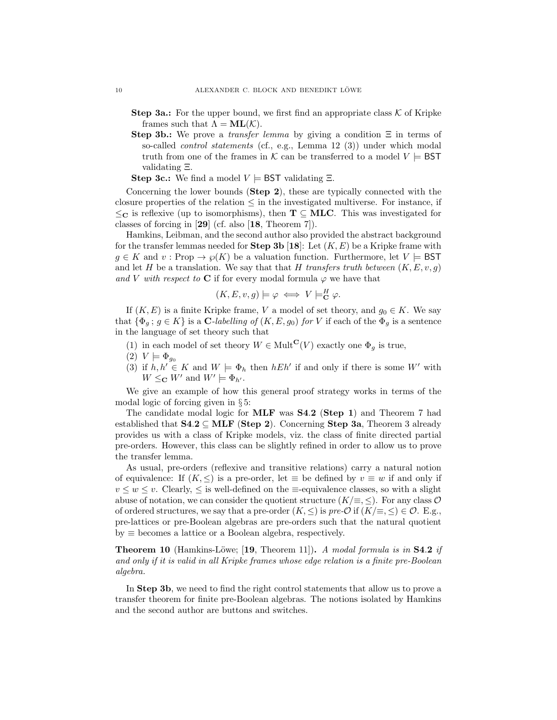- **Step 3a.:** For the upper bound, we first find an appropriate class  $\mathcal K$  of Kripke frames such that  $\Lambda = ML(K)$ .
- Step 3b.: We prove a *transfer lemma* by giving a condition  $\Xi$  in terms of so-called control statements (cf., e.g., Lemma 12 (3)) under which modal truth from one of the frames in K can be transferred to a model  $V \models$  BST validating Ξ.

**Step 3c.:** We find a model  $V \models \textsf{BST}$  validating  $\Xi$ .

Concerning the lower bounds (Step 2), these are typically connected with the closure properties of the relation  $\leq$  in the investigated multiverse. For instance, if  $\leq_{\mathbf{C}}$  is reflexive (up to isomorphisms), then  $\mathbf{T} \subseteq \mathbf{MLC}$ . This was investigated for classes of forcing in [29] (cf. also [18, Theorem 7]).

Hamkins, Leibman, and the second author also provided the abstract background for the transfer lemmas needed for **Step 3b** [18]: Let  $(K, E)$  be a Kripke frame with  $g \in K$  and  $v : \text{Prop} \to \varphi(K)$  be a valuation function. Furthermore, let  $V \models \text{BST}$ and let H be a translation. We say that that H transfers truth between  $(K, E, v, g)$ and V with respect to C if for every modal formula  $\varphi$  we have that

$$
(K, E, v, g) \models \varphi \iff V \models_{\mathbf{C}}^{H} \varphi.
$$

If  $(K, E)$  is a finite Kripke frame, V a model of set theory, and  $g_0 \in K$ . We say that  $\{\Phi_q : g \in K\}$  is a C-labelling of  $(K, E, g_0)$  for V if each of the  $\Phi_q$  is a sentence in the language of set theory such that

- (1) in each model of set theory  $W \in \text{Mult}^{\mathbf{C}}(V)$  exactly one  $\Phi_a$  is true,
- $(2) V \models \Phi_{a_0}$
- (3) if  $h, h' \in K$  and  $W \models \Phi_h$  then  $hEh'$  if and only if there is some W' with  $W \leq_{\mathbf{C}} W'$  and  $W' \models \Phi_{h'}$ .

We give an example of how this general proof strategy works in terms of the modal logic of forcing given in § 5:

The candidate modal logic for **MLF** was **S4.2** (**Step 1**) and Theorem 7 had established that  $S4.2 \subseteq \text{MLF}$  (Step 2). Concerning Step 3a, Theorem 3 already provides us with a class of Kripke models, viz. the class of finite directed partial pre-orders. However, this class can be slightly refined in order to allow us to prove the transfer lemma.

As usual, pre-orders (reflexive and transitive relations) carry a natural notion of equivalence: If  $(K, \leq)$  is a pre-order, let  $\equiv$  be defined by  $v \equiv w$  if and only if  $v \leq w \leq v$ . Clearly,  $\leq$  is well-defined on the  $\equiv$ -equivalence classes, so with a slight abuse of notation, we can consider the quotient structure  $(K/\equiv, \leq)$ . For any class O of ordered structures, we say that a pre-order  $(K, \leq)$  is pre- $\mathcal{O}$  if  $(K/\equiv, \leq) \in \mathcal{O}$ . E.g., pre-lattices or pre-Boolean algebras are pre-orders such that the natural quotient  $by \equiv$  becomes a lattice or a Boolean algebra, respectively.

**Theorem 10** (Hamkins-Löwe; [19, Theorem 11]). A modal formula is in S4.2 if and only if it is valid in all Kripke frames whose edge relation is a finite pre-Boolean algebra.

In Step 3b, we need to find the right control statements that allow us to prove a transfer theorem for finite pre-Boolean algebras. The notions isolated by Hamkins and the second author are buttons and switches.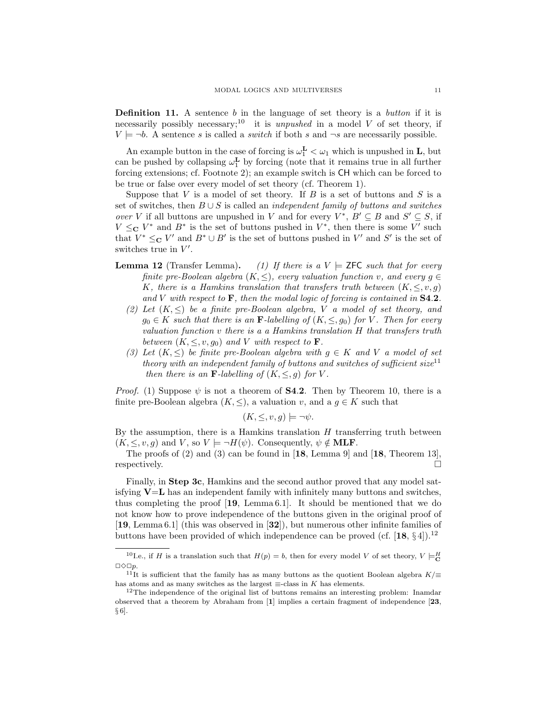**Definition 11.** A sentence b in the language of set theory is a button if it is necessarily possibly necessary;<sup>10</sup> it is *unpushed* in a model  $V$  of set theory, if  $V \models \neg b$ . A sentence s is called a switch if both s and  $\neg s$  are necessarily possible.

An example button in the case of forcing is  $\omega_1^{\mathbf{L}} < \omega_1$  which is unpushed in **L**, but can be pushed by collapsing  $\omega_1^{\mathbf{L}}$  by forcing (note that it remains true in all further forcing extensions; cf. Footnote 2); an example switch is CH which can be forced to be true or false over every model of set theory (cf. Theorem 1).

Suppose that  $V$  is a model of set theory. If  $B$  is a set of buttons and  $S$  is a set of switches, then  $B \cup S$  is called an *independent family of buttons and switches* over V if all buttons are unpushed in V and for every  $V^*$ ,  $B' \subseteq B$  and  $S' \subseteq S$ , if  $V \leq_{\mathbf{C}} V^*$  and  $B^*$  is the set of buttons pushed in  $V^*$ , then there is some V' such that  $V^* \leq_{\mathbf{C}} V'$  and  $B^* \cup B'$  is the set of buttons pushed in  $V'$  and  $S'$  is the set of switches true in  $V'$ .

- **Lemma 12** (Transfer Lemma). (1) If there is a  $V \models$  ZFC such that for every finite pre-Boolean algebra  $(K, \leq)$ , every valuation function v, and every  $g \in$ K, there is a Hamkins translation that transfers truth between  $(K, \leq, v, q)$ and V with respect to  $\mathbf{F}$ , then the modal logic of forcing is contained in  $S4.2$ .
	- (2) Let  $(K, \leq)$  be a finite pre-Boolean algebra, V a model of set theory, and  $g_0 \in K$  such that there is an **F**-labelling of  $(K, \leq, g_0)$  for V. Then for every valuation function v there is a a Hamkins translation H that transfers truth between  $(K, \leq, v, g_0)$  and V with respect to **F**.
	- (3) Let  $(K, \leq)$  be finite pre-Boolean algebra with  $g \in K$  and V a model of set theory with an independent family of buttons and switches of sufficient size<sup>11</sup> then there is an **F**-labelling of  $(K, \leq, g)$  for V.

*Proof.* (1) Suppose  $\psi$  is not a theorem of **S4.2**. Then by Theorem 10, there is a finite pre-Boolean algebra  $(K, \leq)$ , a valuation v, and a  $g \in K$  such that

$$
(K, \leq, v, g) \models \neg \psi.
$$

By the assumption, there is a Hamkins translation  $H$  transferring truth between  $(K, \leq, v, g)$  and V, so  $V \models \neg H(\psi)$ . Consequently,  $\psi \notin \textbf{MLF}$ .

The proofs of (2) and (3) can be found in [18, Lemma 9] and [18, Theorem 13], respectively.  $\Box$ 

Finally, in **Step 3c**, Hamkins and the second author proved that any model satisfying  $V=L$  has an independent family with infinitely many buttons and switches, thus completing the proof [19, Lemma 6.1]. It should be mentioned that we do not know how to prove independence of the buttons given in the original proof of [19, Lemma 6.1] (this was observed in [32]), but numerous other infinite families of buttons have been provided of which independence can be proved (cf.  $[18, \S 4]$ ).<sup>12</sup>

<sup>&</sup>lt;sup>10</sup>Le., if H is a translation such that  $H(p) = b$ , then for every model V of set theory,  $V \models_{\mathbf{C}}^H$  $\Box \Diamond \Box p$ .

 $11$ <sup>II</sup>It is sufficient that the family has as many buttons as the quotient Boolean algebra K/ $\equiv$ has atoms and as many switches as the largest  $\equiv$ -class in K has elements.

 $12$ The independence of the original list of buttons remains an interesting problem: Inamdar observed that a theorem by Abraham from [1] implies a certain fragment of independence [23, § 6].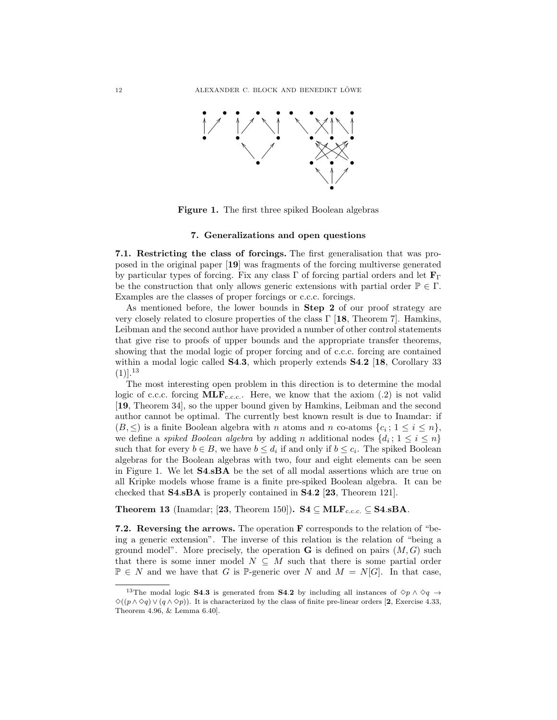

Figure 1. The first three spiked Boolean algebras

### 7. Generalizations and open questions

7.1. Restricting the class of forcings. The first generalisation that was proposed in the original paper [19] was fragments of the forcing multiverse generated by particular types of forcing. Fix any class  $\Gamma$  of forcing partial orders and let  $\mathbf{F}_{\Gamma}$ be the construction that only allows generic extensions with partial order  $\mathbb{P} \in \Gamma$ . Examples are the classes of proper forcings or c.c.c. forcings.

As mentioned before, the lower bounds in Step 2 of our proof strategy are very closely related to closure properties of the class  $\Gamma$  [18, Theorem 7]. Hamkins, Leibman and the second author have provided a number of other control statements that give rise to proofs of upper bounds and the appropriate transfer theorems, showing that the modal logic of proper forcing and of c.c.c. forcing are contained within a modal logic called **S4.3**, which properly extends **S4.2** [18, Corollary 33]  $(1)$ ].<sup>13</sup>

The most interesting open problem in this direction is to determine the modal logic of c.c.c. forcing  $\text{MLF}_{\text{c.c.c.}}$ . Here, we know that the axiom (.2) is not valid [19, Theorem 34], so the upper bound given by Hamkins, Leibman and the second author cannot be optimal. The currently best known result is due to Inamdar: if  $(B, \leq)$  is a finite Boolean algebra with n atoms and n co-atoms  $\{c_i; 1 \leq i \leq n\}$ , we define a *spiked Boolean algebra* by adding *n* additional nodes  $\{d_i; 1 \leq i \leq n\}$ such that for every  $b \in B$ , we have  $b \leq d_i$  if and only if  $b \leq c_i$ . The spiked Boolean algebras for the Boolean algebras with two, four and eight elements can be seen in Figure 1. We let S4.sBA be the set of all modal assertions which are true on all Kripke models whose frame is a finite pre-spiked Boolean algebra. It can be checked that S4.sBA is properly contained in S4.2 [23, Theorem 121].

Theorem 13 (Inamdar; [23, Theorem 150]). S4  $\subseteq$  MLF<sub>c.c.c.</sub>  $\subseteq$  S4.sBA.

7.2. Reversing the arrows. The operation F corresponds to the relation of "being a generic extension". The inverse of this relation is the relation of "being a ground model". More precisely, the operation  $G$  is defined on pairs  $(M, G)$  such that there is some inner model  $N \subseteq M$  such that there is some partial order  $\mathbb{P} \in N$  and we have that G is P-generic over N and  $M = N[G]$ . In that case,

<sup>&</sup>lt;sup>13</sup>The modal logic S4.3 is generated from S4.2 by including all instances of  $\diamond p \wedge \diamond q \rightarrow$  $\Diamond((p \land \Diamond q) \lor (q \land \Diamond p))$ . It is characterized by the class of finite pre-linear orders [2, Exercise 4.33, Theorem 4.96, & Lemma 6.40].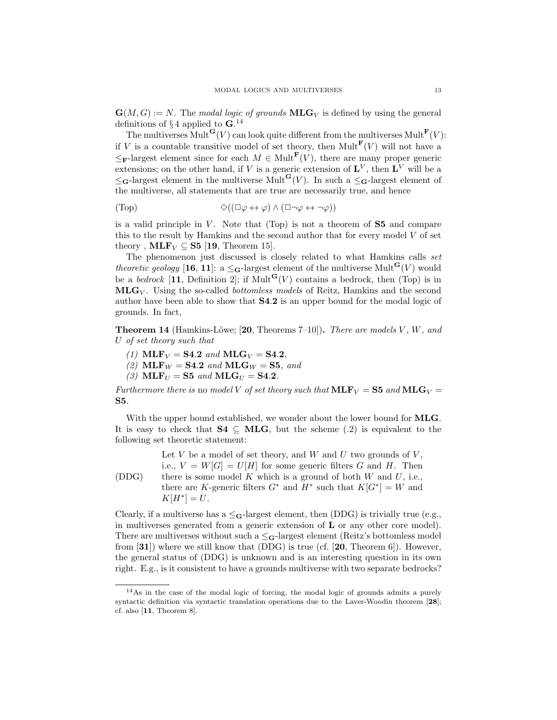$\mathbf{G}(M, G) := N$ . The modal logic of grounds  $\mathbf{MLG}_V$  is defined by using the general definitions of  $\S 4$  applied to  $\mathbf{G}$ .<sup>14</sup>

The multiverses  $\text{Mult}^{\mathbf{G}}(V)$  can look quite different from the multiverses  $\text{Mult}^{\mathbf{F}}(V)$ : if V is a countable transitive model of set theory, then  $Mult^{\mathbf{F}}(V)$  will not have a  $\leq_{\mathbf{F}}$ -largest element since for each  $M \in \text{Mult}^{\mathbf{F}}(V)$ , there are many proper generic extensions; on the other hand, if V is a generic extension of  $\mathbf{L}^V$ , then  $\mathbf{L}^V$  will be a  $\leq_{\mathbf{G}}$ -largest element in the multiverse Mult $\mathbf{G}(V)$ . In such a  $\leq_{\mathbf{G}}$ -largest element of the multiverse, all statements that are true are necessarily true, and hence

$$
(\text{Top}) \qquad \qquad \diamondsuit((\Box \varphi \leftrightarrow \varphi) \land (\Box \neg \varphi \leftrightarrow \neg \varphi))
$$

is a valid principle in  $V$ . Note that (Top) is not a theorem of  $S5$  and compare this to the result by Hamkins and the second author that for every model  $V$  of set theory ,  $MLF_V \subseteq S5$  [19, Theorem 15].

The phenomenon just discussed is closely related to what Hamkins calls set theoretic geology [16, 11]: a  $\leq_G$ -largest element of the multiverse Mult<sup>G</sup>(V) would be a *bedrock* [11, Definition 2]; if Mult<sup>G</sup>(V) contains a bedrock, then (Top) is in  $MLG_V$ . Using the so-called *bottomless models* of Reitz, Hamkins and the second author have been able to show that S4.2 is an upper bound for the modal logic of grounds. In fact,

**Theorem 14** (Hamkins-Löwe; [20, Theorems 7–10]). There are models  $V$ ,  $W$ , and U of set theory such that

(1)  $MLF_V = S4.2$  and  $MLG_V = S4.2$ ,

(2)  $MLF_W = S4.2$  and  $MLG_W = S5$ , and

(3)  $\text{MLF}_{U} = \text{S5}$  and  $\text{MLG}_{U} = \text{S4.2}.$ 

Furthermore there is no model V of set theory such that  $\text{MLF}_V = \text{S5}$  and  $\text{MLG}_V =$ S5.

With the upper bound established, we wonder about the lower bound for **MLG**. It is easy to check that  $S4 \subseteq MLG$ , but the scheme (.2) is equivalent to the following set theoretic statement:

(DDG) Let  $V$  be a model of set theory, and  $W$  and  $U$  two grounds of  $V$ , i.e.,  $V = W[G] = U[H]$  for some generic filters G and H. Then there is some model  $K$  which is a ground of both  $W$  and  $U$ , i.e., there are K-generic filters  $G^*$  and  $H^*$  such that  $K[G^*]=W$  and  $K[H^*] = U.$ 

Clearly, if a multiverse has a  $\leq$ **G**-largest element, then (DDG) is trivially true (e.g., in multiverses generated from a generic extension of  $L$  or any other core model). There are multiverses without such a  $\leq_G$ -largest element (Reitz's bottomless model from  $[31]$ ) where we still know that  $(DDG)$  is true (cf.  $[20,$  Theorem 6]). However, the general status of (DDG) is unknown and is an interesting question in its own right. E.g., is it consistent to have a grounds multiverse with two separate bedrocks?

<sup>14</sup>As in the case of the modal logic of forcing, the modal logic of grounds admits a purely syntactic definition via syntactic translation operations due to the Laver-Woodin theorem [28]; cf. also [11, Theorem 8].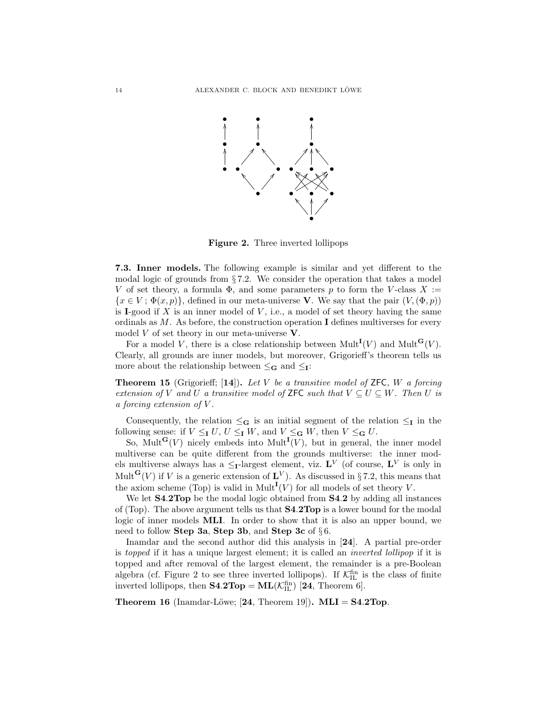

Figure 2. Three inverted lollipops

7.3. Inner models. The following example is similar and yet different to the modal logic of grounds from § 7.2. We consider the operation that takes a model V of set theory, a formula  $\Phi$ , and some parameters p to form the V-class X :=  ${x \in V$ ;  $\Phi(x, p)$ , defined in our meta-universe V. We say that the pair  $(V, (\Phi, p))$ is I-good if  $X$  is an inner model of  $V$ , i.e., a model of set theory having the same ordinals as  $M$ . As before, the construction operation I defines multiverses for every model  $V$  of set theory in our meta-universe  $V$ .

For a model V, there is a close relationship between  $Mult^{\mathbf{I}}(V)$  and  $Mult^{\mathbf{G}}(V)$ . Clearly, all grounds are inner models, but moreover, Grigorieff's theorem tells us more about the relationship between  $\leq_G$  and  $\leq_I$ :

**Theorem 15** (Grigorieff; [14]). Let V be a transitive model of ZFC, W a forcing extension of V and U a transitive model of **ZFC** such that  $V \subseteq U \subseteq W$ . Then U is a forcing extension of V .

Consequently, the relation  $\leq_G$  is an initial segment of the relation  $\leq_I$  in the following sense: if  $V \leq_{\mathbf{I}} U$ ,  $U \leq_{\mathbf{I}} W$ , and  $V \leq_{\mathbf{G}} W$ , then  $V \leq_{\mathbf{G}} U$ .

So, Mult<sup>G</sup> $(V)$  nicely embeds into Mult<sup>I</sup> $(V)$ , but in general, the inner model multiverse can be quite different from the grounds multiverse: the inner models multiverse always has a  $\leq$ <sub>I</sub>-largest element, viz. L<sup>V</sup> (of course, L<sup>V</sup> is only in Mult<sup>G</sup>(V) if V is a generic extension of  $\mathbf{L}^V$ ). As discussed in §7.2, this means that the axiom scheme (Top) is valid in Mult<sup>I</sup>(V) for all models of set theory V.

We let **S4.2Top** be the modal logic obtained from **S4.2** by adding all instances of (Top). The above argument tells us that S4.2Top is a lower bound for the modal logic of inner models MLI. In order to show that it is also an upper bound, we need to follow Step 3a, Step 3b, and Step 3c of  $\S 6$ .

Inamdar and the second author did this analysis in [24]. A partial pre-order is topped if it has a unique largest element; it is called an inverted lollipop if it is topped and after removal of the largest element, the remainder is a pre-Boolean algebra (cf. Figure 2 to see three inverted lollipops). If  $\mathcal{K}_{\text{IL}}^{\text{fin}}$  is the class of finite inverted lollipops, then  $S4.2Top = ML(\mathcal{K}_{IL}^{fin})$  [24, Theorem 6].

**Theorem 16** (Inamdar-Löwe; [24, Theorem 19]). **MLI** =  $S4.2$ Top.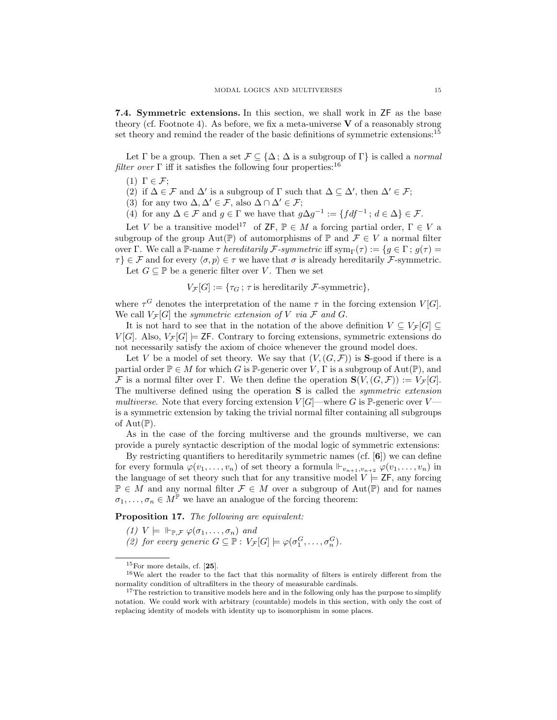7.4. Symmetric extensions. In this section, we shall work in ZF as the base theory (cf. Footnote 4). As before, we fix a meta-universe  $V$  of a reasonably strong set theory and remind the reader of the basic definitions of symmetric extensions:<sup>15</sup>

Let  $\Gamma$  be a group. Then a set  $\mathcal{F} \subseteq {\Delta$ ;  $\Delta$  is a subgroup of  $\Gamma$ } is called a *normal* filter over  $\Gamma$  iff it satisfies the following four properties:<sup>16</sup>

- (1)  $\Gamma \in \mathcal{F}$ ;
- (2) if  $\Delta \in \mathcal{F}$  and  $\Delta'$  is a subgroup of  $\Gamma$  such that  $\Delta \subseteq \Delta'$ , then  $\Delta' \in \mathcal{F}$ ;
- (3) for any two  $\Delta, \Delta' \in \mathcal{F}$ , also  $\Delta \cap \Delta' \in \mathcal{F}$ ;
- (4) for any  $\Delta \in \mathcal{F}$  and  $g \in \Gamma$  we have that  $g\Delta g^{-1} := \{ f df^{-1} : d \in \Delta \} \in \mathcal{F}$ .

Let V be a transitive model<sup>17</sup> of **ZF**,  $\mathbb{P} \in M$  a forcing partial order,  $\Gamma \in V$  a subgroup of the group  $Aut(\mathbb{P})$  of automorphisms of  $\mathbb{P}$  and  $\mathcal{F} \in V$  a normal filter over Γ. We call a P-name  $\tau$  hereditarily F-symmetric iff  $\text{sym}_{\Gamma}(\tau) := \{q \in \Gamma : q(\tau) =$  $\{\tau\} \in \mathcal{F}$  and for every  $\langle \sigma, p \rangle \in \tau$  we have that  $\sigma$  is already hereditarily F-symmetric. Let  $G \subseteq \mathbb{P}$  be a generic filter over V. Then we set

$$
V_{\mathcal{F}}[G] := \{ \tau_G \, ; \, \tau \text{ is hereditary } \mathcal{F}\text{-symmetric} \},
$$

where  $\tau^G$  denotes the interpretation of the name  $\tau$  in the forcing extension  $V[G]$ . We call  $V_{\mathcal{F}}[G]$  the symmetric extension of V via F and G.

It is not hard to see that in the notation of the above definition  $V \subseteq V_{\mathcal{F}}[G] \subseteq$  $V[G]$ . Also,  $V_F[G] \models$  ZF. Contrary to forcing extensions, symmetric extensions do not necessarily satisfy the axiom of choice whenever the ground model does.

Let V be a model of set theory. We say that  $(V, (G, \mathcal{F}))$  is **S**-good if there is a partial order  $\mathbb{P} \in M$  for which G is  $\mathbb{P}$ -generic over V,  $\Gamma$  is a subgroup of Aut $(\mathbb{P})$ , and F is a normal filter over Γ. We then define the operation  $\mathbf{S}(V,(G,\mathcal{F})) := V_{\mathcal{F}}[G].$ The multiverse defined using the operation S is called the symmetric extension multiverse. Note that every forcing extension  $V[G]$ —where G is P-generic over V is a symmetric extension by taking the trivial normal filter containing all subgroups of  $Aut(\mathbb{P})$ .

As in the case of the forcing multiverse and the grounds multiverse, we can provide a purely syntactic description of the modal logic of symmetric extensions:

By restricting quantifiers to hereditarily symmetric names  $(cf. [6])$  we can define for every formula  $\varphi(v_1,\ldots,v_n)$  of set theory a formula  $\vdash_{v_{n+1},v_{n+2}} \varphi(v_1,\ldots,v_n)$  in the language of set theory such that for any transitive model  $V = ZF$ , any forcing  $\mathbb{P} \in M$  and any normal filter  $\mathcal{F} \in M$  over a subgroup of  $\text{Aut}(\mathbb{P})$  and for names  $\sigma_1, \ldots, \sigma_n \in M^{\mathbb{P}}$  we have an analogue of the forcing theorem:

Proposition 17. The following are equivalent:

- (1)  $V \models \Vdash_{\mathbb{P},\mathcal{F}} \varphi(\sigma_1,\ldots,\sigma_n)$  and
- (2) for every generic  $G \subseteq \mathbb{P}: V_{\mathcal{F}}[G] \models \varphi(\sigma_1^G, \ldots, \sigma_n^G)$ .

 $15$ For more details, cf.  $[25]$ .

<sup>16</sup>We alert the reader to the fact that this normality of filters is entirely different from the normality condition of ultrafilters in the theory of measurable cardinals.

<sup>&</sup>lt;sup>17</sup>The restriction to transitive models here and in the following only has the purpose to simplify notation. We could work with arbitrary (countable) models in this section, with only the cost of replacing identity of models with identity up to isomorphism in some places.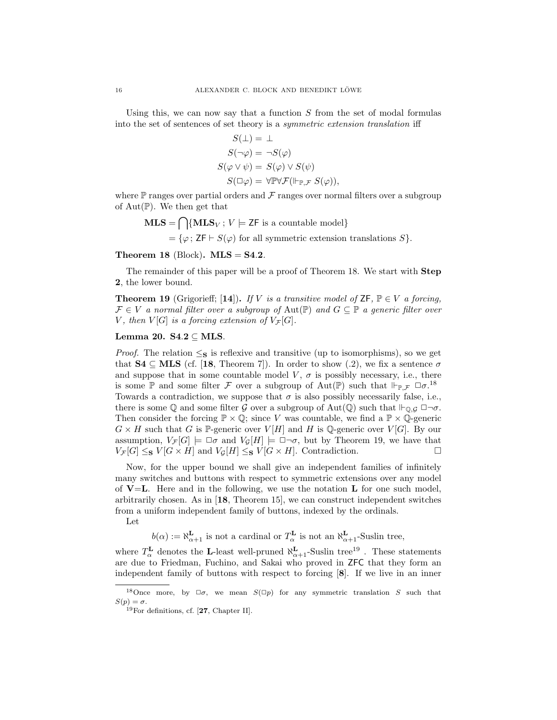Using this, we can now say that a function  $S$  from the set of modal formulas into the set of sentences of set theory is a symmetric extension translation iff

$$
S(\bot) = \bot
$$
  
\n
$$
S(\neg \varphi) = \neg S(\varphi)
$$
  
\n
$$
S(\varphi \lor \psi) = S(\varphi) \lor S(\psi)
$$
  
\n
$$
S(\Box \varphi) = \forall \mathbb{P} \forall \mathcal{F}(\Vdash_{\mathbb{P}, \mathcal{F}} S(\varphi)),
$$

where  $\mathbb P$  ranges over partial orders and  $\mathcal F$  ranges over normal filters over a subgroup of  $Aut(\mathbb{P})$ . We then get that

$$
MLS = \bigcap \{MLS_V : V \models \mathsf{ZF} \text{ is a countable model} \}
$$

 $=\{\varphi; Z\mathsf{F}\vdash S(\varphi) \text{ for all symmetric extension translations } S\}.$ 

Theorem 18 (Block).  $MLS = S4.2$ .

The remainder of this paper will be a proof of Theorem 18. We start with **Step** 2, the lower bound.

**Theorem 19** (Grigorieff; [14]). If V is a transitive model of  $ZF$ ,  $P \in V$  a forcing,  $\mathcal{F} \in V$  a normal filter over a subgroup of Aut(P) and  $G \subseteq \mathbb{P}$  a generic filter over V, then  $V[G]$  is a forcing extension of  $V_{\mathcal{F}}[G]$ .

## Lemma 20.  $S4.2 \subset MLS$ .

*Proof.* The relation  $\leq_{\mathbf{S}}$  is reflexive and transitive (up to isomorphisms), so we get that  $S4 \subseteq MLS$  (cf. [18, Theorem 7]). In order to show (.2), we fix a sentence  $\sigma$ and suppose that in some countable model  $V, \sigma$  is possibly necessary, i.e., there is some  $\mathbb P$  and some filter F over a subgroup of Aut $(\mathbb P)$  such that  $\Vdash_{\mathbb P,\mathcal{F}} \Box \sigma$ <sup>18</sup> Towards a contradiction, we suppose that  $\sigma$  is also possibly necessarily false, i.e., there is some  $\mathbb Q$  and some filter  $\mathcal G$  over a subgroup of  $\mathrm{Aut}(\mathbb Q)$  such that  $\Vdash_{\mathbb Q, \mathcal G} \Box \neg \sigma$ . Then consider the forcing  $\mathbb{P} \times \mathbb{Q}$ ; since V was countable, we find a  $\mathbb{P} \times \mathbb{Q}$ -generic  $G \times H$  such that G is P-generic over  $V[H]$  and H is Q-generic over  $V[G]$ . By our assumption,  $V_{\mathcal{F}}[G] \models \Box \sigma$  and  $V_G[H] \models \Box \neg \sigma$ , but by Theorem 19, we have that  $V_{\mathcal{F}}[G] \leq_{\mathbf{S}} V[G \times H]$  and  $V_{\mathcal{G}}[H] \leq_{\mathbf{S}} V[G \times H]$ . Contradiction.

Now, for the upper bound we shall give an independent families of infinitely many switches and buttons with respect to symmetric extensions over any model of  $V=L$ . Here and in the following, we use the notation L for one such model, arbitrarily chosen. As in [18, Theorem 15], we can construct independent switches from a uniform independent family of buttons, indexed by the ordinals.

Let

 $b(\alpha) := \aleph_{\alpha+1}^{\mathbf{L}}$  is not a cardinal or  $T_{\alpha}^{\mathbf{L}}$  is not an  $\aleph_{\alpha+1}^{\mathbf{L}}$ -Suslin tree,

where  $T_{\alpha}^{\textbf{L}}$  denotes the L-least well-pruned  $\aleph_{\alpha+1}^{\textbf{L}}$ -Suslin tree<sup>19</sup>. These statements are due to Friedman, Fuchino, and Sakai who proved in ZFC that they form an independent family of buttons with respect to forcing [8]. If we live in an inner

<sup>&</sup>lt;sup>18</sup>Once more, by  $\Box \sigma$ , we mean  $S(\Box p)$  for any symmetric translation S such that  $S(p) = \sigma.$ 

 $19$ For definitions, cf. [27, Chapter II].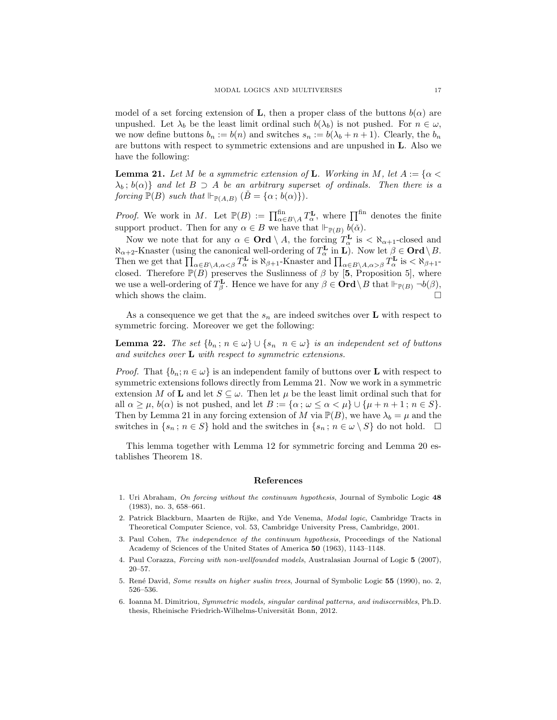model of a set forcing extension of **L**, then a proper class of the buttons  $b(\alpha)$  are unpushed. Let  $\lambda_b$  be the least limit ordinal such  $b(\lambda_b)$  is not pushed. For  $n \in \omega$ , we now define buttons  $b_n := b(n)$  and switches  $s_n := b(\lambda_b + n + 1)$ . Clearly, the  $b_n$ are buttons with respect to symmetric extensions and are unpushed in L. Also we have the following:

**Lemma 21.** Let M be a symmetric extension of **L**. Working in M, let  $A := \{ \alpha \leq \alpha \}$  $\lambda_b$ ;  $b(\alpha)$ } and let  $B \supset A$  be an arbitrary superset of ordinals. Then there is a forcing  $\mathbb{P}(B)$  such that  $\Vdash_{\mathbb{P}(A,B)} (\check{B} = {\alpha; b(\alpha)}).$ 

*Proof.* We work in M. Let  $\mathbb{P}(B) := \prod_{\alpha \in B\setminus A}^{\text{fin}} T_{\alpha}^{\mathbf{L}}$ , where  $\prod^{\text{fin}}$  denotes the finite support product. Then for any  $\alpha \in B$  we have that  $\Vdash_{\mathbb{P}(B)} b(\check{\alpha})$ .

Now we note that for any  $\alpha \in \mathbf{Ord} \setminus A$ , the forcing  $T_{\alpha}^{\mathbf{L}}$  is  $\langle \aleph_{\alpha+1}$ -closed and  $\aleph_{\alpha+2}$ -Knaster (using the canonical well-ordering of  $T_{\alpha}^{\mathbf{L}}$  in **L**). Now let  $\beta \in \mathbf{Ord}\setminus B$ . Then we get that  $\prod_{\alpha \in B \setminus A, \alpha < \beta} T_{\alpha}^{\mathbf{L}}$  is  $\aleph_{\beta+1}$ -Knaster and  $\prod_{\alpha \in B \setminus A, \alpha > \beta} T_{\alpha}^{\mathbf{L}}$  is  $\lt \aleph_{\beta+1}$ closed. Therefore  $\mathbb{P}(B)$  preserves the Suslinness of  $\beta$  by [5, Proposition 5], where we use a well-ordering of  $T_{\beta}^{\mathbf{L}}$ . Hence we have for any  $\beta \in \mathbf{Ord}\setminus B$  that  $\Vdash_{\mathbb{P}(B)} \neg b(\beta)$ , which shows the claim.  $\Box$ 

As a consequence we get that the  $s_n$  are indeed switches over **L** with respect to symmetric forcing. Moreover we get the following:

**Lemma 22.** The set  $\{b_n : n \in \omega\} \cup \{s_n \mid n \in \omega\}$  is an independent set of buttons and switches over **L** with respect to symmetric extensions.

*Proof.* That  $\{b_n; n \in \omega\}$  is an independent family of buttons over **L** with respect to symmetric extensions follows directly from Lemma 21. Now we work in a symmetric extension M of **L** and let  $S \subseteq \omega$ . Then let  $\mu$  be the least limit ordinal such that for all  $\alpha \geq \mu$ ,  $b(\alpha)$  is not pushed, and let  $B := {\alpha : \omega \leq \alpha < \mu} \cup {\mu + n + 1 : n \in S}.$ Then by Lemma 21 in any forcing extension of M via  $\mathbb{P}(B)$ , we have  $\lambda_b = \mu$  and the switches in  $\{s_n : n \in S\}$  hold and the switches in  $\{s_n : n \in \omega \setminus S\}$  do not hold.  $\square$ 

This lemma together with Lemma 12 for symmetric forcing and Lemma 20 establishes Theorem 18.

#### References

- 1. Uri Abraham, On forcing without the continuum hypothesis, Journal of Symbolic Logic 48 (1983), no. 3, 658–661.
- 2. Patrick Blackburn, Maarten de Rijke, and Yde Venema, Modal logic, Cambridge Tracts in Theoretical Computer Science, vol. 53, Cambridge University Press, Cambridge, 2001.
- 3. Paul Cohen, The independence of the continuum hypothesis, Proceedings of the National Academy of Sciences of the United States of America 50 (1963), 1143–1148.
- 4. Paul Corazza, Forcing with non-wellfounded models, Australasian Journal of Logic 5 (2007), 20–57.
- 5. René David, Some results on higher suslin trees, Journal of Symbolic Logic 55 (1990), no. 2, 526–536.
- 6. Ioanna M. Dimitriou, Symmetric models, singular cardinal patterns, and indiscernibles, Ph.D. thesis, Rheinische Friedrich-Wilhelms-Universität Bonn, 2012.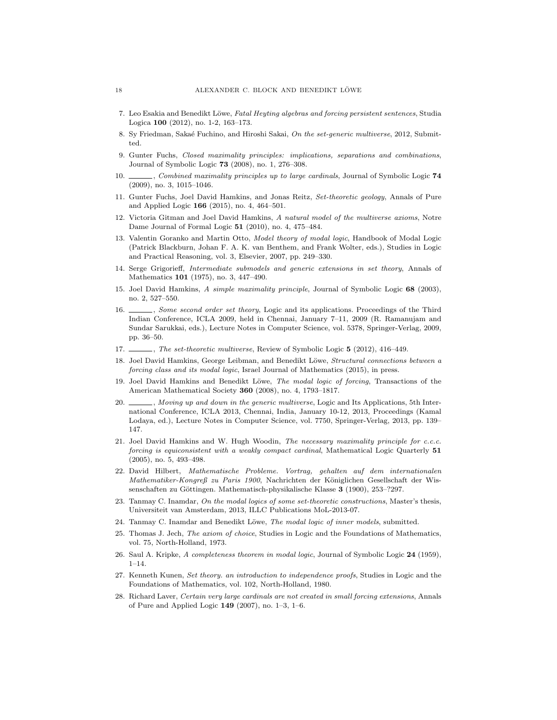- 7. Leo Esakia and Benedikt Löwe, Fatal Heyting algebras and forcing persistent sentences, Studia Logica 100 (2012), no. 1-2, 163–173.
- 8. Sy Friedman, Sakaé Fuchino, and Hiroshi Sakai, On the set-generic multiverse, 2012, Submitted.
- 9. Gunter Fuchs, Closed maximality principles: implications, separations and combinations, Journal of Symbolic Logic 73 (2008), no. 1, 276–308.
- 10. , Combined maximality principles up to large cardinals, Journal of Symbolic Logic 74 (2009), no. 3, 1015–1046.
- 11. Gunter Fuchs, Joel David Hamkins, and Jonas Reitz, Set-theoretic geology, Annals of Pure and Applied Logic 166 (2015), no. 4, 464–501.
- 12. Victoria Gitman and Joel David Hamkins, A natural model of the multiverse axioms, Notre Dame Journal of Formal Logic 51 (2010), no. 4, 475–484.
- 13. Valentin Goranko and Martin Otto, Model theory of modal logic, Handbook of Modal Logic (Patrick Blackburn, Johan F. A. K. van Benthem, and Frank Wolter, eds.), Studies in Logic and Practical Reasoning, vol. 3, Elsevier, 2007, pp. 249–330.
- 14. Serge Grigorieff, Intermediate submodels and generic extensions in set theory, Annals of Mathematics 101 (1975), no. 3, 447–490.
- 15. Joel David Hamkins, A simple maximality principle, Journal of Symbolic Logic 68 (2003), no. 2, 527–550.
- 16. , Some second order set theory, Logic and its applications. Proceedings of the Third Indian Conference, ICLA 2009, held in Chennai, January 7–11, 2009 (R. Ramanujam and Sundar Sarukkai, eds.), Lecture Notes in Computer Science, vol. 5378, Springer-Verlag, 2009, pp. 36–50.
- 17.  $\ldots$ , The set-theoretic multiverse, Review of Symbolic Logic 5 (2012), 416–449.
- 18. Joel David Hamkins, George Leibman, and Benedikt Löwe, Structural connections between a forcing class and its modal logic, Israel Journal of Mathematics (2015), in press.
- 19. Joel David Hamkins and Benedikt Löwe, The modal logic of forcing, Transactions of the American Mathematical Society 360 (2008), no. 4, 1793–1817.
- 20.  $\_\_\_\_\_\$ n, Moving up and down in the generic multiverse, Logic and Its Applications, 5th International Conference, ICLA 2013, Chennai, India, January 10-12, 2013, Proceedings (Kamal Lodaya, ed.), Lecture Notes in Computer Science, vol. 7750, Springer-Verlag, 2013, pp. 139– 147.
- 21. Joel David Hamkins and W. Hugh Woodin, The necessary maximality principle for c.c.c. forcing is equiconsistent with a weakly compact cardinal, Mathematical Logic Quarterly 51 (2005), no. 5, 493–498.
- 22. David Hilbert, Mathematische Probleme. Vortrag, gehalten auf dem internationalen Mathematiker-Kongreß zu Paris 1900, Nachrichten der Königlichen Gesellschaft der Wissenschaften zu Göttingen. Mathematisch-physikalische Klasse 3 (1900), 253–?297.
- 23. Tanmay C. Inamdar, On the modal logics of some set-theoretic constructions, Master's thesis, Universiteit van Amsterdam, 2013, ILLC Publications MoL-2013-07.
- 24. Tanmay C. Inamdar and Benedikt Löwe, The modal logic of inner models, submitted.
- 25. Thomas J. Jech, The axiom of choice, Studies in Logic and the Foundations of Mathematics, vol. 75, North-Holland, 1973.
- 26. Saul A. Kripke, A completeness theorem in modal logic, Journal of Symbolic Logic 24 (1959), 1–14.
- 27. Kenneth Kunen, Set theory. an introduction to independence proofs, Studies in Logic and the Foundations of Mathematics, vol. 102, North-Holland, 1980.
- 28. Richard Laver, Certain very large cardinals are not created in small forcing extensions, Annals of Pure and Applied Logic 149 (2007), no. 1–3, 1–6.